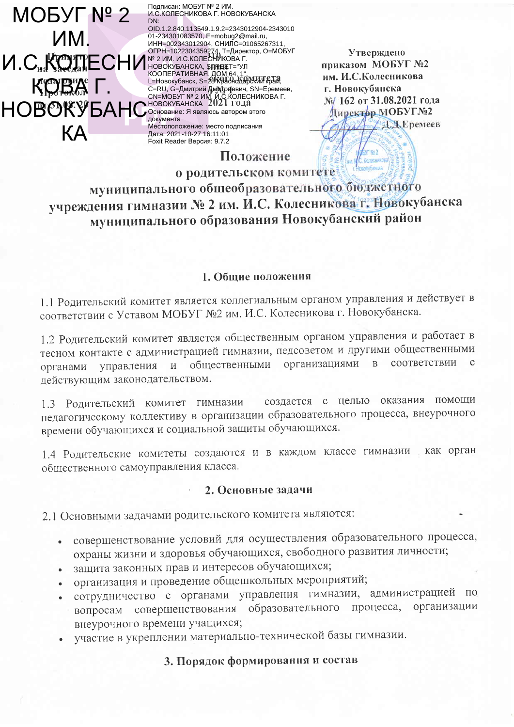Подписан: МОБУГ № 2 ИМ. **MOBYF Nº 2** DN: **VIM** ECHIP NE CHIP NE CHARGET - VI NORTH AND RESERVE TO THE 1022304359274 T- AINDEXTOP, O-MOBSIT KROBYA L. **CENTRE AND CONSUMER AND CONSUMER SEX DEPARTMENT AND CONSUMER AND CONSUMER AND ANONECHIAL SOLUTION AND ARREST OF A SUBSEX PROPORT OF A SUBSEX PROPORT OF A SUBSEX PROPORT OF A SUBSEX PROPORT OF A SUBSEX PROPORT OF A SUBSEX** KА

И.С.КОЛЕСНИКОВА Г. НОВОКУБАНСКА OID.1.2.840.113549.1.9.2=2343012904-2343010 01-234301083570, E=mobug2@mail.ru, ИНН=002343012904, СНИЛС=01065267311 Местоположение: место подписания Дата: 2021-10-27 16:11:01 Foxit Reader Версия: 9.7.2

Утверждено приказом МОБУГ №2 им. И.С.Колесникова г. Новокубанска № 162 от 31.08.2021 года Директор МОБУГ№2 Д.Д.Еремеев

о родительском комитете муниципального общеобразовательного бюджетного учреждения гимназии № 2 им. И.С. Колесникова г. Новокубанска муниципального образования Новокубанский район

Положение

#### 1. Обшие положения

1.1 Родительский комитет является коллегиальным органом управления и действует в соответствии с Уставом МОБУГ №2 им. И.С. Колесникова г. Новокубанска.

1.2 Родительский комитет является общественным органом управления и работает в тесном контакте с администрацией гимназии, педсоветом и другими общественными общественными организациями  $\overline{B}$ соответствии  $\mathbf{c}$  $\overline{M}$ управления органами действующим законодательством.

создается с целью оказания помощи 1.3 Родительский комитет гимназии педагогическому коллективу в организации образовательного процесса, внеурочного времени обучающихся и социальной защиты обучающихся.

1.4 Родительские комитеты создаются и в каждом классе гимназии как орган общественного самоуправления класса.

#### 2. Основные задачи

2.1 Основными задачами родительского комитета являются:

- совершенствование условий для осуществления образовательного процесса,  $\bullet$  . охраны жизни и здоровья обучающихся, свободного развития личности;
- защита законных прав и интересов обучающихся;
- организация и проведение общешкольных мероприятий;
- сотрудничество с органами управления гимназии, администрацией по вопросам совершенствования образовательного процесса, организации внеурочного времени учащихся;
- участие в укреплении материально-технической базы гимназии.

# 3. Порядок формирования и состав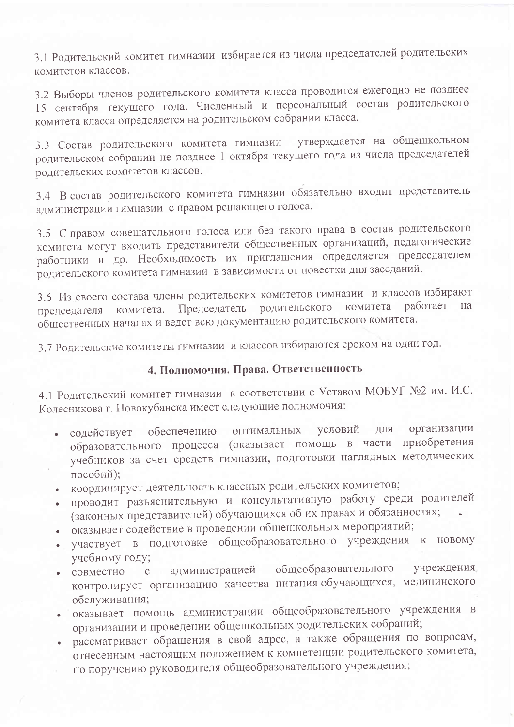3.1 Родительский комитет гимназии избирается из числа председателей родительских комитетов классов.

3.2 Выборы членов родительского комитета класса проводится ежегодно не позднее 15 сентября текущего года. Численный и персональный состав родительского комитета класса определяется на родительском собрании класса.

3.3 Состав родительского комитета гимназии утверждается на общешкольном родительском собрании не позднее 1 октября текущего года из числа председателей родительских комитетов классов.

3.4 В состав родительского комитета гимназии обязательно входит представитель администрации гимназии с правом решающего голоса.

3.5 С правом совещательного голоса или без такого права в состав родительского комитета могут входить представители общественных организаций, педагогические работники и др. Необходимость их приглашения определяется председателем родительского комитета гимназии в зависимости от повестки дня заседаний.

3.6 Из своего состава члены родительских комитетов гимназии и классов избирают Председатель родительского комитета работает Ha комитета. председателя общественных началах и ведет всю документацию родительского комитета.

3.7 Родительские комитеты гимназии и классов избираются сроком на один год.

## 4. Полномочия. Права. Ответственность

4.1 Родительский комитет гимназии в соответствии с Уставом МОБУГ №2 им. И.С. Колесникова г. Новокубанска имеет следующие полномочия:

- содействует обеспечению оптимальных условий для организации образовательного процесса (оказывает помощь в части приобретения учебников за счет средств гимназии, подготовки наглядных методических пособий);
- координирует деятельность классных родительских комитетов;
- проводит разъяснительную и консультативную работу среди родителей (законных представителей) обучающихся об их правах и обязанностях;
- оказывает содействие в проведении общешкольных мероприятий;
- участвует в подготовке общеобразовательного учреждения к новому учебному году;
- администрацией общеобразовательного учреждения совместно с контролирует организацию качества питания обучающихся, медицинского обслуживания;
- оказывает помощь администрации общеобразовательного учреждения в организации и проведении общешкольных родительских собраний;
- рассматривает обращения в свой адрес, а также обращения по вопросам, отнесенным настоящим положением к компетенции родительского комитета, по поручению руководителя общеобразовательного учреждения;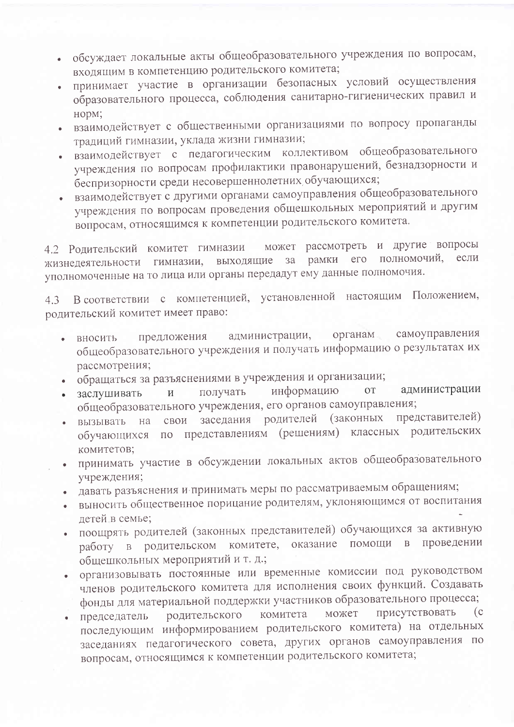- обсуждает локальные акты общеобразовательного учреждения по вопросам, входящим в компетенцию родительского комитета;
- принимает участие в организации безопасных условий осуществления образовательного процесса, соблюдения санитарно-гигиенических правил и норм;
- взаимодействует с общественными организациями по вопросу пропаганды традиций гимназии, уклада жизни гимназии;
- взаимодействует с педагогическим коллективом общеобразовательного учреждения по вопросам профилактики правонарушений, безнадзорности и беспризорности среди несовершеннолетних обучающихся;
- взаимодействует с другими органами самоуправления общеобразовательного учреждения по вопросам проведения общешкольных мероприятий и другим вопросам, относящимся к компетенции родительского комитета.

может рассмотреть и другие вопросы 4.2 Родительский комитет гимназии полномочий, если  $3a$ рамки  $er$ выходящие гимназии, жизнедеятельности уполномоченные на то лица или органы передадут ему данные полномочия.

В соответствии с компетенцией, установленной настоящим Положением,  $4.3$ родительский комитет имеет право:

- органам самоуправления администрации, предложения вносить общеобразовательного учреждения и получать информацию о результатах их рассмотрения;
- обращаться за разъяснениями в учреждения и организации;
- информацию администрации **OT** получать заслушивать  $\overline{\mathbf{M}}$ общеобразовательного учреждения, его органов самоуправления;
- представителей) заседания родителей (законных свои вызывать на представлениям (решениям) классных родительских обучающихся по комитетов;
- принимать участие в обсуждении локальных актов общеобразовательного учреждения;
- давать разъяснения и принимать меры по рассматриваемым обращениям;
- выносить общественное порицание родителям, уклоняющимся от воспитания летей в семье;
- поощрять родителей (законных представителей) обучающихся за активную оказание помощи  $\, {\bf B}$ проведении комитете, работу в родительском общешкольных мероприятий и т. д.;
- организовывать постоянные или временные комиссии под руководством членов родительского комитета для исполнения своих функций. Создавать фонды для материальной поддержки участников образовательного процесса;
- присутствовать может  $(c)$ комитета родительского председатель последующим информированием родительского комитета) на отдельных заседаниях педагогического совета, других органов самоуправления по вопросам, относящимся к компетенции родительского комитета;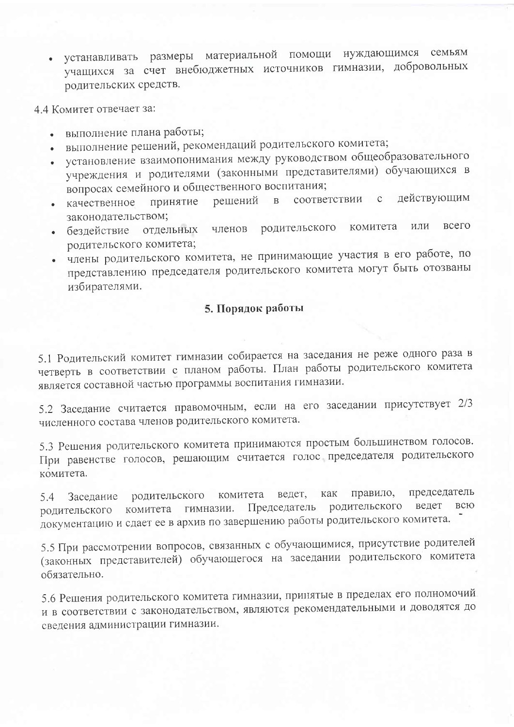- устанавливать размеры материальной помощи нуждающимся семьям учащихся за счет внебюджетных источников гимназии, добровольных родительских средств.
- 4.4 Комитет отвечает за:
	- выполнение плана работы;
	- выполнение решений, рекомендаций родительского комитета;
	- установление взаимопонимания между руководством общеобразовательного учреждения и родителями (законными представителями) обучающихся в вопросах семейного и общественного воспитания;
	- соответствии с действующим решений  $\mathbf{B}$ принятие качественное законодательством;
	- комитета **BCCLO** или родительского бездействие отдельных членов родительского комитета;
	- члены родительского комитета, не принимающие участия в его работе, по представлению председателя родительского комитета могут быть отозваны избирателями.

## 5. Порядок работы

5.1 Родительский комитет гимназии собирается на заседания не реже одного раза в четверть в соответствии с планом работы. План работы родительского комитета является составной частью программы воспитания гимназии.

5.2 Заседание считается правомочным, если на его заседании присутствует 2/3 численного состава членов родительского комитета.

5.3 Решения родительского комитета принимаются простым большинством голосов. При равенстве голосов, решающим считается голос председателя родительского комитета.

председатель правило, ведет, как родительского комитета Заседание 5.4 родительского ведет всю Председатель комитета гимназии. родительского документацию и сдает ее в архив по завершению работы родительского комитета.

5.5 При рассмотрении вопросов, связанных с обучающимися, присутствие родителей (законных представителей) обучающегося на заседании родительского комитета обязательно.

5.6 Решения родительского комитета гимназии, принятые в пределах его полномочий и в соответствии с законодательством, являются рекомендательными и доводятся до сведения администрации гимназии.